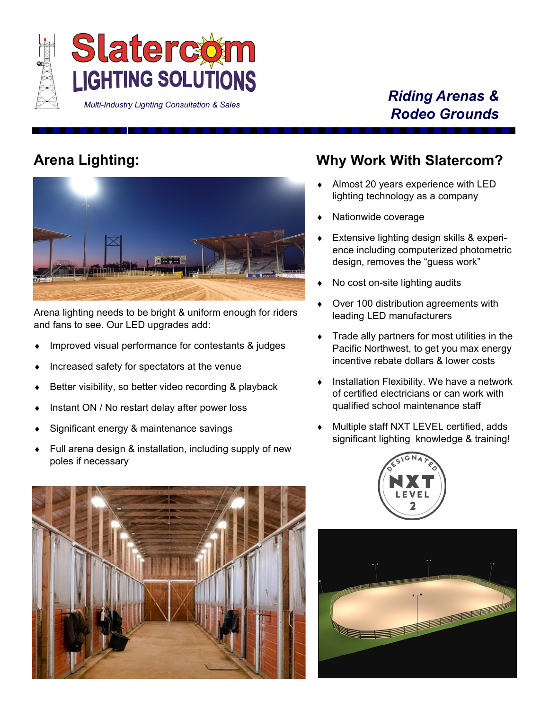

#### *Riding Arenas & Rodeo Grounds*

## **Arena Lighting:**



Arena lighting needs to be bright & uniform enough for riders and fans to see. Our LED upgrades add:

- Improved visual performance for contestants & judges
- Increased safety for spectators at the venue
- Better visibility, so better video recording & playback
- Instant ON / No restart delay after power loss
- Significant energy & maintenance savings
- Full arena design & installation, including supply of new poles if necessary

#### **Why Work With Slatercom?**

- ◆ Almost 20 years experience with LED lighting technology as a company
- Nationwide coverage
- Extensive lighting design skills & experience including computerized photometric design, removes the "guess work"
- No cost on-site lighting audits
- ◆ Over 100 distribution agreements with leading LED manufacturers
- **Trade ally partners for most utilities in the** Pacific Northwest, to get you max energy incentive rebate dollars & lower costs
- Installation Flexibility. We have a network of certified electricians or can work with qualified school maintenance staff
- Multiple staff NXT LEVEL certified, adds significant lighting knowledge & training!